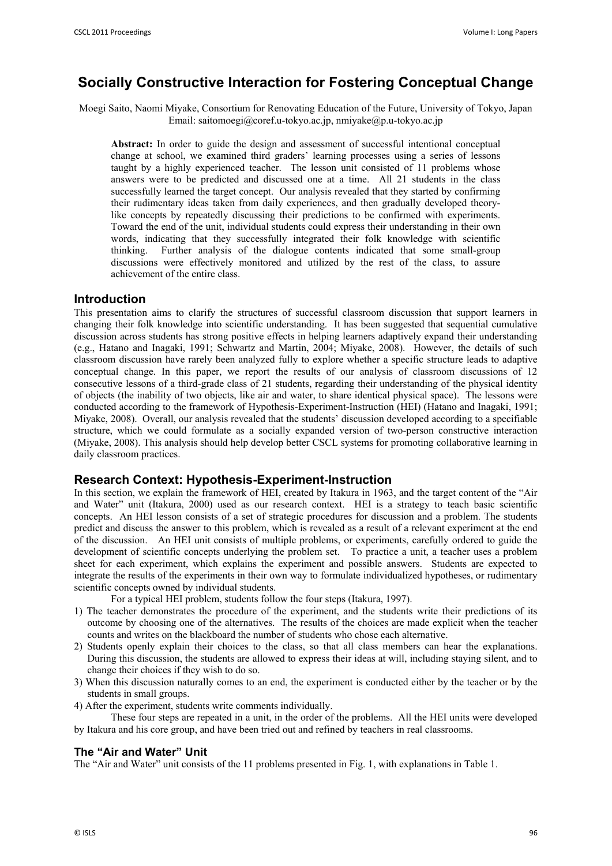# **Socially Constructive Interaction for Fostering Conceptual Change**

Moegi Saito, Naomi Miyake, Consortium for Renovating Education of the Future, University of Tokyo, Japan Email: saitomoegi@coref.u-tokyo.ac.jp, nmiyake@p.u-tokyo.ac.jp

**Abstract:** In order to guide the design and assessment of successful intentional conceptual change at school, we examined third graders' learning processes using a series of lessons taught by a highly experienced teacher. The lesson unit consisted of 11 problems whose answers were to be predicted and discussed one at a time. All 21 students in the class successfully learned the target concept. Our analysis revealed that they started by confirming their rudimentary ideas taken from daily experiences, and then gradually developed theorylike concepts by repeatedly discussing their predictions to be confirmed with experiments. Toward the end of the unit, individual students could express their understanding in their own words, indicating that they successfully integrated their folk knowledge with scientific thinking. Further analysis of the dialogue contents indicated that some small-group discussions were effectively monitored and utilized by the rest of the class, to assure achievement of the entire class.

## **Introduction**

This presentation aims to clarify the structures of successful classroom discussion that support learners in changing their folk knowledge into scientific understanding. It has been suggested that sequential cumulative discussion across students has strong positive effects in helping learners adaptively expand their understanding (e.g., Hatano and Inagaki, 1991; Schwartz and Martin, 2004; Miyake, 2008). However, the details of such classroom discussion have rarely been analyzed fully to explore whether a specific structure leads to adaptive conceptual change. In this paper, we report the results of our analysis of classroom discussions of 12 consecutive lessons of a third-grade class of 21 students, regarding their understanding of the physical identity of objects (the inability of two objects, like air and water, to share identical physical space). The lessons were conducted according to the framework of Hypothesis-Experiment-Instruction (HEI) (Hatano and Inagaki, 1991; Miyake, 2008). Overall, our analysis revealed that the students' discussion developed according to a specifiable structure, which we could formulate as a socially expanded version of two-person constructive interaction (Miyake, 2008). This analysis should help develop better CSCL systems for promoting collaborative learning in daily classroom practices.

## **Research Context: Hypothesis-Experiment-Instruction**

In this section, we explain the framework of HEI, created by Itakura in 1963, and the target content of the "Air and Water" unit (Itakura, 2000) used as our research context. HEI is a strategy to teach basic scientific concepts. An HEI lesson consists of a set of strategic procedures for discussion and a problem. The students predict and discuss the answer to this problem, which is revealed as a result of a relevant experiment at the end of the discussion. An HEI unit consists of multiple problems, or experiments, carefully ordered to guide the development of scientific concepts underlying the problem set. To practice a unit, a teacher uses a problem sheet for each experiment, which explains the experiment and possible answers. Students are expected to integrate the results of the experiments in their own way to formulate individualized hypotheses, or rudimentary scientific concepts owned by individual students.

For a typical HEI problem, students follow the four steps (Itakura, 1997).

- 1) The teacher demonstrates the procedure of the experiment, and the students write their predictions of its outcome by choosing one of the alternatives. The results of the choices are made explicit when the teacher counts and writes on the blackboard the number of students who chose each alternative.
- 2) Students openly explain their choices to the class, so that all class members can hear the explanations. During this discussion, the students are allowed to express their ideas at will, including staying silent, and to change their choices if they wish to do so.
- 3) When this discussion naturally comes to an end, the experiment is conducted either by the teacher or by the students in small groups.
- 4) After the experiment, students write comments individually.
- These four steps are repeated in a unit, in the order of the problems. All the HEI units were developed by Itakura and his core group, and have been tried out and refined by teachers in real classrooms.

## **The "Air and Water" Unit**

The "Air and Water" unit consists of the 11 problems presented in Fig. 1, with explanations in Table 1.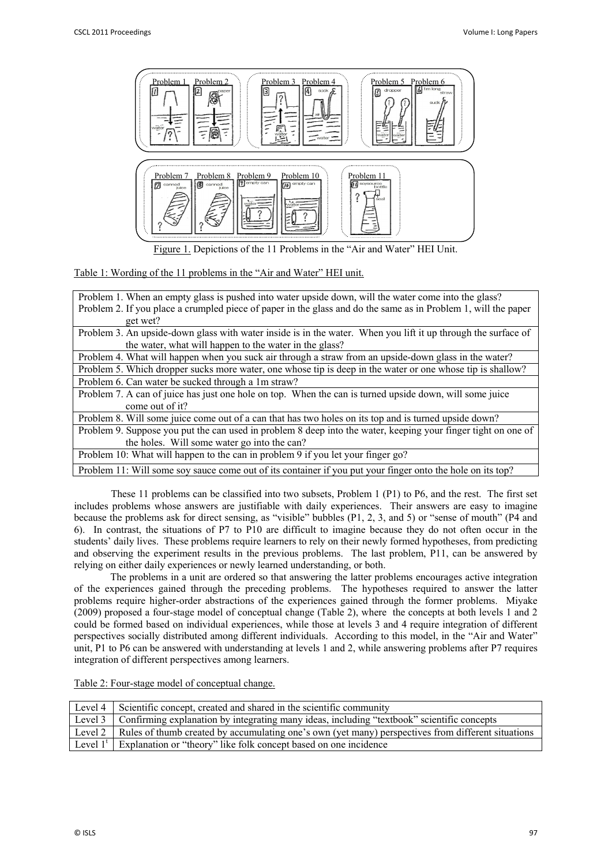

Figure 1. Depictions of the 11 Problems in the "Air and Water" HEI Unit.

Table 1: Wording of the 11 problems in the "Air and Water" HEI unit.

| Problem 1. When an empty glass is pushed into water upside down, will the water come into the glass?           |
|----------------------------------------------------------------------------------------------------------------|
| Problem 2. If you place a crumpled piece of paper in the glass and do the same as in Problem 1, will the paper |
| get wet?                                                                                                       |
| Problem 3. An upside-down glass with water inside is in the water. When you lift it up through the surface of  |
| the water, what will happen to the water in the glass?                                                         |
| Problem 4. What will happen when you suck air through a straw from an upside-down glass in the water?          |
| Problem 5. Which dropper sucks more water, one whose tip is deep in the water or one whose tip is shallow?     |
| Problem 6. Can water be sucked through a 1m straw?                                                             |
| Problem 7. A can of juice has just one hole on top. When the can is turned upside down, will some juice        |
| come out of it?                                                                                                |
| Problem 8. Will some juice come out of a can that has two holes on its top and is turned upside down?          |
| Problem 9. Suppose you put the can used in problem 8 deep into the water, keeping your finger tight on one of  |
| the holes. Will some water go into the can?                                                                    |
| Problem 10: What will happen to the can in problem 9 if you let your finger go?                                |
| Problem 11: Will some soy sauce come out of its container if you put your finger onto the hole on its top?     |

These 11 problems can be classified into two subsets, Problem 1 (P1) to P6, and the rest. The first set includes problems whose answers are justifiable with daily experiences. Their answers are easy to imagine because the problems ask for direct sensing, as "visible" bubbles (P1, 2, 3, and 5) or "sense of mouth" (P4 and 6). In contrast, the situations of P7 to P10 are difficult to imagine because they do not often occur in the students' daily lives. These problems require learners to rely on their newly formed hypotheses, from predicting and observing the experiment results in the previous problems. The last problem, P11, can be answered by relying on either daily experiences or newly learned understanding, or both.

The problems in a unit are ordered so that answering the latter problems encourages active integration of the experiences gained through the preceding problems. The hypotheses required to answer the latter problems require higher-order abstractions of the experiences gained through the former problems. Miyake (2009) proposed a four-stage model of conceptual change (Table 2), where the concepts at both levels 1 and 2 could be formed based on individual experiences, while those at levels 3 and 4 require integration of different perspectives socially distributed among different individuals. According to this model, in the "Air and Water" unit, P1 to P6 can be answered with understanding at levels 1 and 2, while answering problems after P7 requires integration of different perspectives among learners.

Table 2: Four-stage model of conceptual change.

| Level 4   Scientific concept, created and shared in the scientific community                                 |
|--------------------------------------------------------------------------------------------------------------|
| Level 3 Confirming explanation by integrating many ideas, including "textbook" scientific concepts           |
| Level 2   Rules of thumb created by accumulating one's own (yet many) perspectives from different situations |
| Level $1^t$ Explanation or "theory" like folk concept based on one incidence                                 |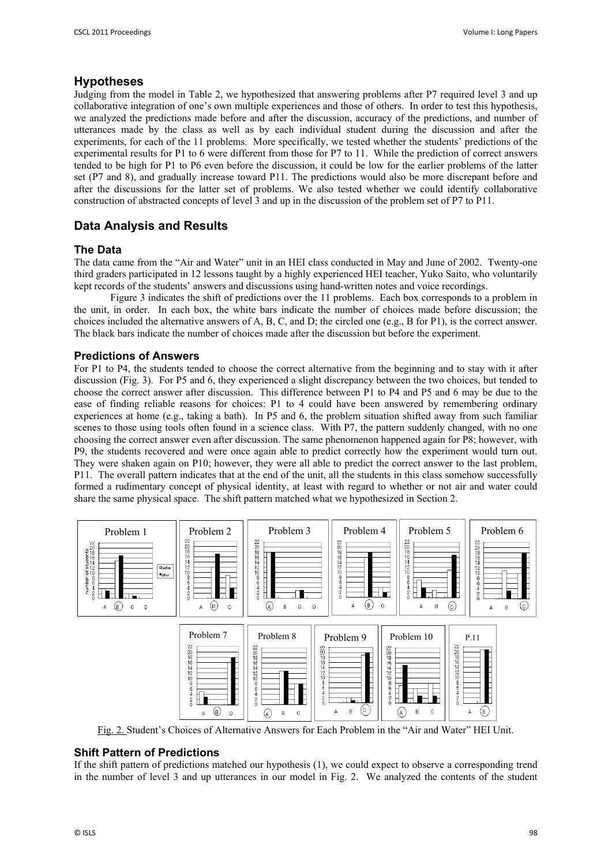## **Hypotheses**

Judging from the model in Table 2, we hypothesized that answering problems after P7 required level 3 and up collaborative integration of one's own multiple experiences and those of others. In order to test this hypothesis, we analyzed the predictions made before and after the discussion, accuracy of the predictions, and number of utterances made by the class as well as by each individual student during the discussion and after the experiments, for each of the 11 problems. More specifically, we tested whether the students' predictions of the experimental results for P1 to 6 were different from those for P7 to 11. While the prediction of correct answers tended to be high for P1 to P6 even before the discussion, it could be low for the earlier problems of the latter set (P7 and 8), and gradually increase toward P11. The predictions would also be more discrepant before and after the discussions for the latter set of problems. We also tested whether we could identify collaborative construction of abstracted concepts of level 3 and up in the discussion of the problem set of P7 to P11.

## **Data Analysis and Results**

## **The Data**

The data came from the "Air and Water" unit in an HEI class conducted in May and June of 2002. Twenty-one third graders participated in 12 lessons taught by a highly experienced HEI teacher, Yuko Saito, who voluntarily kept records of the students' answers and discussions using hand-written notes and voice recordings.

Figure 3 indicates the shift of predictions over the 11 problems. Each box corresponds to a problem in the unit, in order. In each box, the white bars indicate the number of choices made before discussion; the choices included the alternative answers of A, B, C, and D; the circled one (e.g., B for P1), is the correct answer. The black bars indicate the number of choices made after the discussion but before the experiment.

## **Predictions of Answers**

For P1 to P4, the students tended to choose the correct alternative from the beginning and to stay with it after discussion (Fig. 3). For P5 and 6, they experienced a slight discrepancy between the two choices, but tended to choose the correct answer after discussion. This difference between P1 to P4 and P5 and 6 may be due to the ease of finding reliable reasons for choices: P1 to 4 could have been answered by remembering ordinary experiences at home (e.g., taking a bath). In P5 and 6, the problem situation shifted away from such familiar scenes to those using tools often found in a science class. With P7, the pattern suddenly changed, with no one choosing the correct answer even after discussion. The same phenomenon happened again for P8; however, with P9, the students recovered and were once again able to predict correctly how the experiment would turn out. They were shaken again on P10; however, they were all able to predict the correct answer to the last problem, P11. The overall pattern indicates that at the end of the unit, all the students in this class somehow successfully formed a rudimentary concept of physical identity, at least with regard to whether or not air and water could share the same physical space. The shift pattern matched what we hypothesized in Section 2.



Fig. 2. Student's Choices of Alternative Answers for Each Problem in the "Air and Water" HEI Unit.

## **Shift Pattern of Predictions**

If the shift pattern of predictions matched our hypothesis (1), we could expect to observe a corresponding trend in the number of level 3 and up utterances in our model in Fig. 2. We analyzed the contents of the student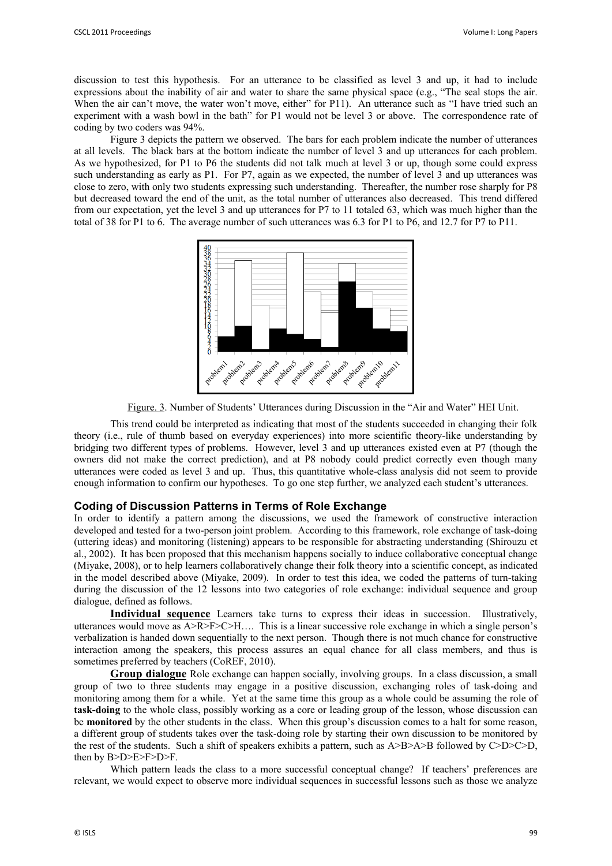discussion to test this hypothesis. For an utterance to be classified as level 3 and up, it had to include expressions about the inability of air and water to share the same physical space (e.g., "The seal stops the air. When the air can't move, the water won't move, either" for P11). An utterance such as "I have tried such an experiment with a wash bowl in the bath" for P1 would not be level 3 or above. The correspondence rate of coding by two coders was 94%.

Figure 3 depicts the pattern we observed. The bars for each problem indicate the number of utterances at all levels. The black bars at the bottom indicate the number of level 3 and up utterances for each problem. As we hypothesized, for P1 to P6 the students did not talk much at level 3 or up, though some could express such understanding as early as P1. For P7, again as we expected, the number of level 3 and up utterances was close to zero, with only two students expressing such understanding. Thereafter, the number rose sharply for P8 but decreased toward the end of the unit, as the total number of utterances also decreased. This trend differed from our expectation, yet the level 3 and up utterances for P7 to 11 totaled 63, which was much higher than the total of 38 for P1 to 6. The average number of such utterances was 6.3 for P1 to P6, and 12.7 for P7 to P11.



Figure. 3. Number of Students' Utterances during Discussion in the "Air and Water" HEI Unit.

This trend could be interpreted as indicating that most of the students succeeded in changing their folk theory (i.e., rule of thumb based on everyday experiences) into more scientific theory-like understanding by bridging two different types of problems. However, level 3 and up utterances existed even at P7 (though the owners did not make the correct prediction), and at P8 nobody could predict correctly even though many utterances were coded as level 3 and up. Thus, this quantitative whole-class analysis did not seem to provide enough information to confirm our hypotheses. To go one step further, we analyzed each student's utterances.

## **Coding of Discussion Patterns in Terms of Role Exchange**

In order to identify a pattern among the discussions, we used the framework of constructive interaction developed and tested for a two-person joint problem. According to this framework, role exchange of task-doing (uttering ideas) and monitoring (listening) appears to be responsible for abstracting understanding (Shirouzu et al., 2002). It has been proposed that this mechanism happens socially to induce collaborative conceptual change (Miyake, 2008), or to help learners collaboratively change their folk theory into a scientific concept, as indicated in the model described above (Miyake, 2009). In order to test this idea, we coded the patterns of turn-taking during the discussion of the 12 lessons into two categories of role exchange: individual sequence and group dialogue, defined as follows.

**Individual sequence** Learners take turns to express their ideas in succession. Illustratively, utterances would move as A>R>F>C>H…. This is a linear successive role exchange in which a single person's verbalization is handed down sequentially to the next person. Though there is not much chance for constructive interaction among the speakers, this process assures an equal chance for all class members, and thus is sometimes preferred by teachers (CoREF, 2010).

**Group dialogue** Role exchange can happen socially, involving groups. In a class discussion, a small group of two to three students may engage in a positive discussion, exchanging roles of task-doing and monitoring among them for a while. Yet at the same time this group as a whole could be assuming the role of **task-doing** to the whole class, possibly working as a core or leading group of the lesson, whose discussion can be **monitored** by the other students in the class. When this group's discussion comes to a halt for some reason, a different group of students takes over the task-doing role by starting their own discussion to be monitored by the rest of the students. Such a shift of speakers exhibits a pattern, such as  $A>B>A>B$  followed by C>D>C>D, then by B>D>E>F>D>F.

Which pattern leads the class to a more successful conceptual change? If teachers' preferences are relevant, we would expect to observe more individual sequences in successful lessons such as those we analyze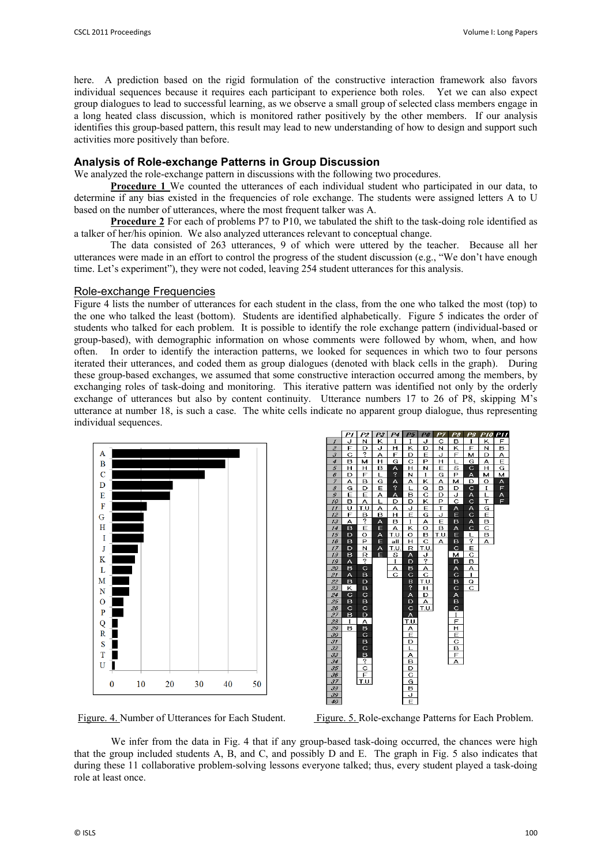here. A prediction based on the rigid formulation of the constructive interaction framework also favors individual sequences because it requires each participant to experience both roles. Yet we can also expect group dialogues to lead to successful learning, as we observe a small group of selected class members engage in a long heated class discussion, which is monitored rather positively by the other members. If our analysis identifies this group-based pattern, this result may lead to new understanding of how to design and support such activities more positively than before.

## **Analysis of Role-exchange Patterns in Group Discussion**

We analyzed the role-exchange pattern in discussions with the following two procedures.

**Procedure 1** We counted the utterances of each individual student who participated in our data, to determine if any bias existed in the frequencies of role exchange. The students were assigned letters A to U based on the number of utterances, where the most frequent talker was A.

**Procedure 2** For each of problems P7 to P10, we tabulated the shift to the task-doing role identified as a talker of her/his opinion. We also analyzed utterances relevant to conceptual change.

The data consisted of 263 utterances, 9 of which were uttered by the teacher. Because all her utterances were made in an effort to control the progress of the student discussion (e.g., "We don't have enough time. Let's experiment"), they were not coded, leaving 254 student utterances for this analysis.

## Role-exchange Frequencies

Figure 4 lists the number of utterances for each student in the class, from the one who talked the most (top) to the one who talked the least (bottom). Students are identified alphabetically. Figure 5 indicates the order of students who talked for each problem. It is possible to identify the role exchange pattern (individual-based or group-based), with demographic information on whose comments were followed by whom, when, and how often. In order to identify the interaction patterns, we looked for sequences in which two to four persons iterated their utterances, and coded them as group dialogues (denoted with black cells in the graph). During these group-based exchanges, we assumed that some constructive interaction occurred among the members, by exchanging roles of task-doing and monitoring. This iterative pattern was identified not only by the orderly exchange of utterances but also by content continuity. Utterance numbers 17 to 26 of P8, skipping M's utterance at number 18, is such a case. The white cells indicate no apparent group dialogue, thus representing individual sequences.





Figure. 4. Number of Utterances for Each Student. Figure. 5. Role-exchange Patterns for Each Problem.

We infer from the data in Fig. 4 that if any group-based task-doing occurred, the chances were high that the group included students A, B, and C, and possibly D and E. The graph in Fig. 5 also indicates that during these 11 collaborative problem-solving lessons everyone talked; thus, every student played a task-doing role at least once.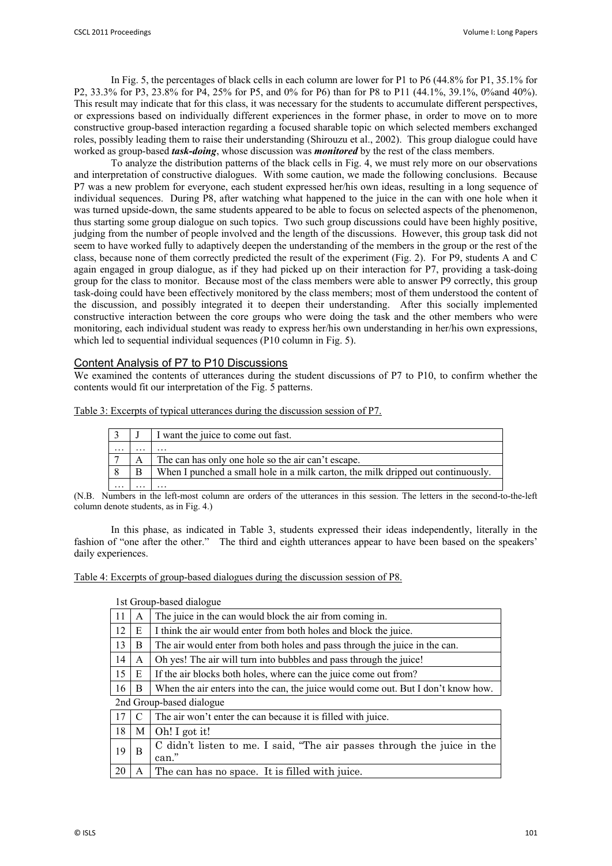In Fig. 5, the percentages of black cells in each column are lower for P1 to P6 (44.8% for P1, 35.1% for P2, 33.3% for P3, 23.8% for P4, 25% for P5, and 0% for P6) than for P8 to P11 (44.1%, 39.1%, 0%and 40%). This result may indicate that for this class, it was necessary for the students to accumulate different perspectives, or expressions based on individually different experiences in the former phase, in order to move on to more constructive group-based interaction regarding a focused sharable topic on which selected members exchanged roles, possibly leading them to raise their understanding (Shirouzu et al., 2002). This group dialogue could have worked as group-based *task-doing*, whose discussion was *monitored* by the rest of the class members.

To analyze the distribution patterns of the black cells in Fig. 4, we must rely more on our observations and interpretation of constructive dialogues. With some caution, we made the following conclusions. Because P7 was a new problem for everyone, each student expressed her/his own ideas, resulting in a long sequence of individual sequences. During P8, after watching what happened to the juice in the can with one hole when it was turned upside-down, the same students appeared to be able to focus on selected aspects of the phenomenon, thus starting some group dialogue on such topics. Two such group discussions could have been highly positive, judging from the number of people involved and the length of the discussions. However, this group task did not seem to have worked fully to adaptively deepen the understanding of the members in the group or the rest of the class, because none of them correctly predicted the result of the experiment (Fig. 2). For P9, students A and C again engaged in group dialogue, as if they had picked up on their interaction for P7, providing a task-doing group for the class to monitor. Because most of the class members were able to answer P9 correctly, this group task-doing could have been effectively monitored by the class members; most of them understood the content of the discussion, and possibly integrated it to deepen their understanding. After this socially implemented constructive interaction between the core groups who were doing the task and the other members who were monitoring, each individual student was ready to express her/his own understanding in her/his own expressions, which led to sequential individual sequences (P10 column in Fig. 5).

## Content Analysis of P7 to P10 Discussions

We examined the contents of utterances during the student discussions of P7 to P10, to confirm whether the contents would fit our interpretation of the Fig. 5 patterns.

Table 3: Excerpts of typical utterances during the discussion session of P7.

|          |                      | I want the juice to come out fast.                                               |
|----------|----------------------|----------------------------------------------------------------------------------|
| $\cdots$ | $\ddot{\phantom{0}}$ | .                                                                                |
|          |                      | The can has only one hole so the air can't escape.                               |
|          |                      | When I punched a small hole in a milk carton, the milk dripped out continuously. |
| $\cdots$ | .                    |                                                                                  |

(N.B. Numbers in the left-most column are orders of the utterances in this session. The letters in the second-to-the-left column denote students, as in Fig. 4.)

In this phase, as indicated in Table 3, students expressed their ideas independently, literally in the fashion of "one after the other." The third and eighth utterances appear to have been based on the speakers' daily experiences.

Table 4: Excerpts of group-based dialogues during the discussion session of P8.

1st Group-based dialogue

| 11 | A | The juice in the can would block the air from coming in.                          |
|----|---|-----------------------------------------------------------------------------------|
| 12 | E | I think the air would enter from both holes and block the juice.                  |
| 13 | B | The air would enter from both holes and pass through the juice in the can.        |
| 14 | A | Oh yes! The air will turn into bubbles and pass through the juice!                |
| 15 | E | If the air blocks both holes, where can the juice come out from?                  |
| 16 | B | When the air enters into the can, the juice would come out. But I don't know how. |
|    |   | 2nd Group-based dialogue                                                          |
| 17 | C | The air won't enter the can because it is filled with juice.                      |
| 18 | M | Oh! I got it!                                                                     |
| 19 | B | C didn't listen to me. I said, "The air passes through the juice in the           |
|    |   | can."                                                                             |
| 20 | A | The can has no space. It is filled with juice.                                    |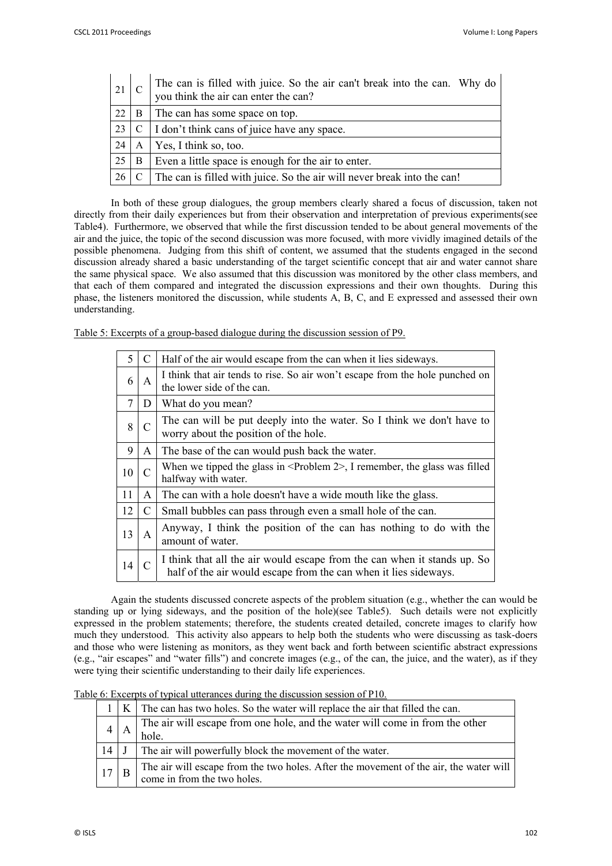| 21     |   | The can is filled with juice. So the air can't break into the can. Why do<br>you think the air can enter the can? |
|--------|---|-------------------------------------------------------------------------------------------------------------------|
| 22     | B | The can has some space on top.                                                                                    |
| 23     |   | $C \mid I$ don't think cans of juice have any space.                                                              |
| 24     | A | Yes, I think so, too.                                                                                             |
| 25     | B | Even a little space is enough for the air to enter.                                                               |
| $26$ C |   | The can is filled with juice. So the air will never break into the can!                                           |

In both of these group dialogues, the group members clearly shared a focus of discussion, taken not directly from their daily experiences but from their observation and interpretation of previous experiments(see Table4). Furthermore, we observed that while the first discussion tended to be about general movements of the air and the juice, the topic of the second discussion was more focused, with more vividly imagined details of the possible phenomena. Judging from this shift of content, we assumed that the students engaged in the second discussion already shared a basic understanding of the target scientific concept that air and water cannot share the same physical space. We also assumed that this discussion was monitored by the other class members, and that each of them compared and integrated the discussion expressions and their own thoughts. During this phase, the listeners monitored the discussion, while students A, B, C, and E expressed and assessed their own understanding.

Table 5: Excerpts of a group-based dialogue during the discussion session of P9.

| 5  | $\mathcal{C}$ | Half of the air would escape from the can when it lies sideways.                                                                             |
|----|---------------|----------------------------------------------------------------------------------------------------------------------------------------------|
| 6  | A             | I think that air tends to rise. So air won't escape from the hole punched on<br>the lower side of the can.                                   |
| 7  | D             | What do you mean?                                                                                                                            |
| 8  | $\mathcal{C}$ | The can will be put deeply into the water. So I think we don't have to<br>worry about the position of the hole.                              |
| 9  | A             | The base of the can would push back the water.                                                                                               |
| 10 | $\mathcal{C}$ | When we tipped the glass in $\leq$ Problem 2>, I remember, the glass was filled<br>halfway with water.                                       |
| 11 | A             | The can with a hole doesn't have a wide mouth like the glass.                                                                                |
| 12 | C             | Small bubbles can pass through even a small hole of the can.                                                                                 |
| 13 | A             | Anyway, I think the position of the can has nothing to do with the<br>amount of water.                                                       |
| 14 |               | I think that all the air would escape from the can when it stands up. So<br>half of the air would escape from the can when it lies sideways. |

Again the students discussed concrete aspects of the problem situation (e.g., whether the can would be standing up or lying sideways, and the position of the hole)(see Table5). Such details were not explicitly expressed in the problem statements; therefore, the students created detailed, concrete images to clarify how much they understood. This activity also appears to help both the students who were discussing as task-doers and those who were listening as monitors, as they went back and forth between scientific abstract expressions (e.g., "air escapes" and "water fills") and concrete images (e.g., of the can, the juice, and the water), as if they were tying their scientific understanding to their daily life experiences.

Table 6: Excerpts of typical utterances during the discussion session of P10.

|    | $K$ The can has two holes. So the water will replace the air that filled the can.                                    |
|----|----------------------------------------------------------------------------------------------------------------------|
|    | The air will escape from one hole, and the water will come in from the other<br>hole.                                |
| 14 | The air will powerfully block the movement of the water.                                                             |
| 17 | The air will escape from the two holes. After the movement of the air, the water will<br>come in from the two holes. |